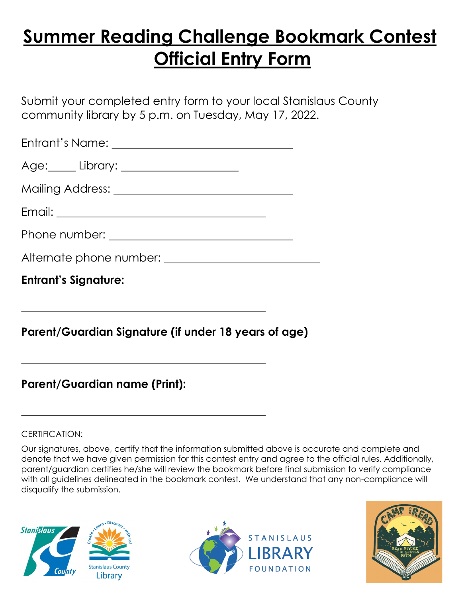## **Summer Reading Challenge Bookmark Contest Official Entry Form**

Submit your completed entry form to your local Stanislaus County community library by 5 p.m. on Tuesday, May 17, 2022.

| <b>Entrant's Signature:</b> |  |  |  |  |  |  |
|-----------------------------|--|--|--|--|--|--|
|                             |  |  |  |  |  |  |
|                             |  |  |  |  |  |  |
|                             |  |  |  |  |  |  |
|                             |  |  |  |  |  |  |
|                             |  |  |  |  |  |  |
|                             |  |  |  |  |  |  |

## **Parent/Guardian Signature (if under 18 years of age)**

## **Parent/Guardian name (Print):**

CERTIFICATION:

Our signatures, above, certify that the information submitted above is accurate and complete and denote that we have given permission for this contest entry and agree to the official rules. Additionally, parent/guardian certifies he/she will review the bookmark before final submission to verify compliance with all guidelines delineated in the bookmark contest. We understand that any non-compliance will disqualify the submission.